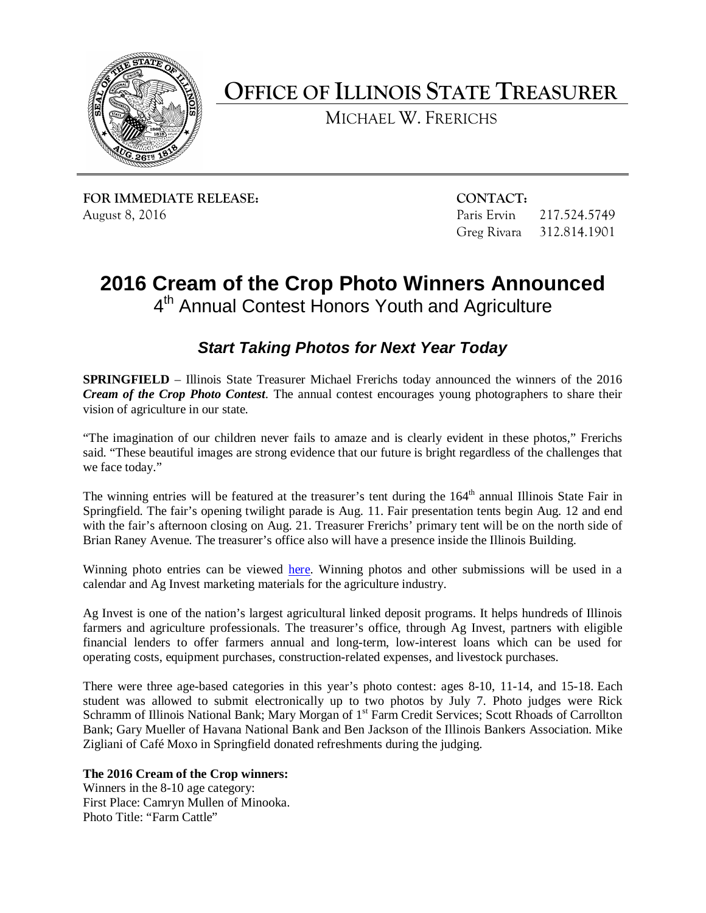

**OFFICE OF ILLINOIS STATE TREASURER**

MICHAEL W. FRERICHS

**FOR IMMEDIATE RELEASE: CONTACT:** August 8, 2016 **Paris Ervin 217.524.5749** Paris Ervin 217.524.5749

Greg Rivara 312.814.1901

## **2016 Cream of the Crop Photo Winners Announced** 4<sup>th</sup> Annual Contest Honors Youth and Agriculture

## *Start Taking Photos for Next Year Today*

**SPRINGFIELD** – Illinois State Treasurer Michael Frerichs today announced the winners of the 2016 *Cream of the Crop Photo Contest*. The annual contest encourages young photographers to share their vision of agriculture in our state.

"The imagination of our children never fails to amaze and is clearly evident in these photos," Frerichs said. "These beautiful images are strong evidence that our future is bright regardless of the challenges that we face today."

The winning entries will be featured at the treasurer's tent during the 164<sup>th</sup> annual Illinois State Fair in Springfield. The fair's opening twilight parade is Aug. 11. Fair presentation tents begin Aug. 12 and end with the fair's afternoon closing on Aug. 21. Treasurer Frerichs' primary tent will be on the north side of Brian Raney Avenue. The treasurer's office also will have a presence inside the Illinois Building.

Winning photo entries can be viewed [here.](http://illinoistreasurer.gov/Individuals/Ag_Invest/Cream_of_the_Crop_Winners) Winning photos and other submissions will be used in a calendar and Ag Invest marketing materials for the agriculture industry.

Ag Invest is one of the nation's largest agricultural linked deposit programs. It helps hundreds of Illinois farmers and agriculture professionals. The treasurer's office, through Ag Invest, partners with eligible financial lenders to offer farmers annual and long-term, low-interest loans which can be used for operating costs, equipment purchases, construction-related expenses, and livestock purchases.

There were three age-based categories in this year's photo contest: ages 8-10, 11-14, and 15-18. Each student was allowed to submit electronically up to two photos by July 7. Photo judges were Rick Schramm of Illinois National Bank; Mary Morgan of 1<sup>st</sup> Farm Credit Services; Scott Rhoads of Carrollton Bank; Gary Mueller of Havana National Bank and Ben Jackson of the Illinois Bankers Association. Mike Zigliani of Café Moxo in Springfield donated refreshments during the judging.

**The 2016 Cream of the Crop winners:**

Winners in the 8-10 age category: First Place: Camryn Mullen of Minooka. Photo Title: "Farm Cattle"